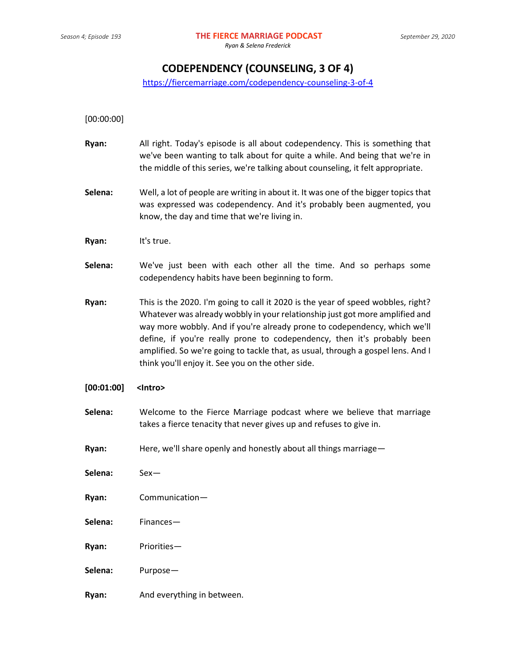# **CODEPENDENCY (COUNSELING, 3 OF 4)**

<https://fiercemarriage.com/codependency-counseling-3-of-4>

[00:00:00]

- **Ryan:** All right. Today's episode is all about codependency. This is something that we've been wanting to talk about for quite a while. And being that we're in the middle of this series, we're talking about counseling, it felt appropriate.
- **Selena:** Well, a lot of people are writing in about it. It was one of the bigger topics that was expressed was codependency. And it's probably been augmented, you know, the day and time that we're living in.
- **Ryan:** It's true.
- **Selena:** We've just been with each other all the time. And so perhaps some codependency habits have been beginning to form.
- **Ryan:** This is the 2020. I'm going to call it 2020 is the year of speed wobbles, right? Whatever was already wobbly in your relationship just got more amplified and way more wobbly. And if you're already prone to codependency, which we'll define, if you're really prone to codependency, then it's probably been amplified. So we're going to tackle that, as usual, through a gospel lens. And I think you'll enjoy it. See you on the other side.

## **[00:01:00] <Intro>**

- **Selena:** Welcome to the Fierce Marriage podcast where we believe that marriage takes a fierce tenacity that never gives up and refuses to give in.
- **Ryan:** Here, we'll share openly and honestly about all things marriage—

**Selena:** Sex—

- **Ryan:** Communication—
- **Selena:** Finances—
- **Ryan:** Priorities—
- **Selena:** Purpose—
- **Ryan:** And everything in between.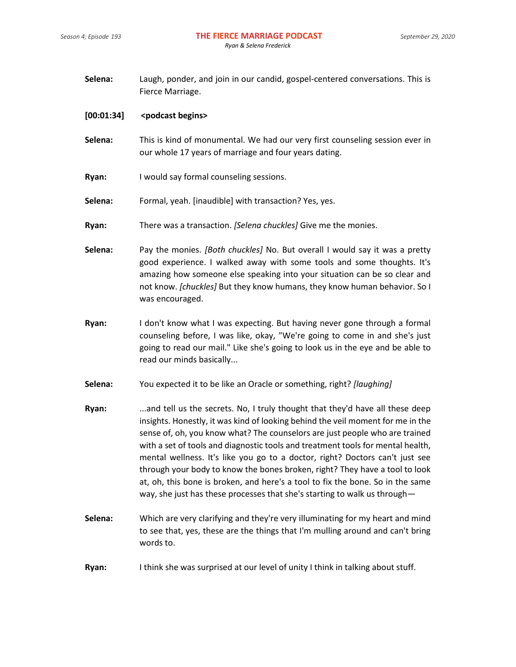| Selena: | Laugh, ponder, and join in our candid, gospel-centered conversations. This is |
|---------|-------------------------------------------------------------------------------|
|         | Fierce Marriage.                                                              |

#### **[00:01:34] <podcast begins>**

- **Selena:** This is kind of monumental. We had our very first counseling session ever in our whole 17 years of marriage and four years dating.
- **Ryan:** I would say formal counseling sessions.
- **Selena:** Formal, yeah. [inaudible] with transaction? Yes, yes.
- **Ryan:** There was a transaction. *[Selena chuckles]* Give me the monies.

**Selena:** Pay the monies. *[Both chuckles]* No. But overall I would say it was a pretty good experience. I walked away with some tools and some thoughts. It's amazing how someone else speaking into your situation can be so clear and not know. *[chuckles]* But they know humans, they know human behavior. So I was encouraged.

- **Ryan:** I don't know what I was expecting. But having never gone through a formal counseling before, I was like, okay, "We're going to come in and she's just going to read our mail." Like she's going to look us in the eye and be able to read our minds basically...
- **Selena:** You expected it to be like an Oracle or something, right? *[laughing]*
- **Ryan:** ...and tell us the secrets. No, I truly thought that they'd have all these deep insights. Honestly, it was kind of looking behind the veil moment for me in the sense of, oh, you know what? The counselors are just people who are trained with a set of tools and diagnostic tools and treatment tools for mental health, mental wellness. It's like you go to a doctor, right? Doctors can't just see through your body to know the bones broken, right? They have a tool to look at, oh, this bone is broken, and here's a tool to fix the bone. So in the same way, she just has these processes that she's starting to walk us through—
- **Selena:** Which are very clarifying and they're very illuminating for my heart and mind to see that, yes, these are the things that I'm mulling around and can't bring words to.
- **Ryan:** I think she was surprised at our level of unity I think in talking about stuff.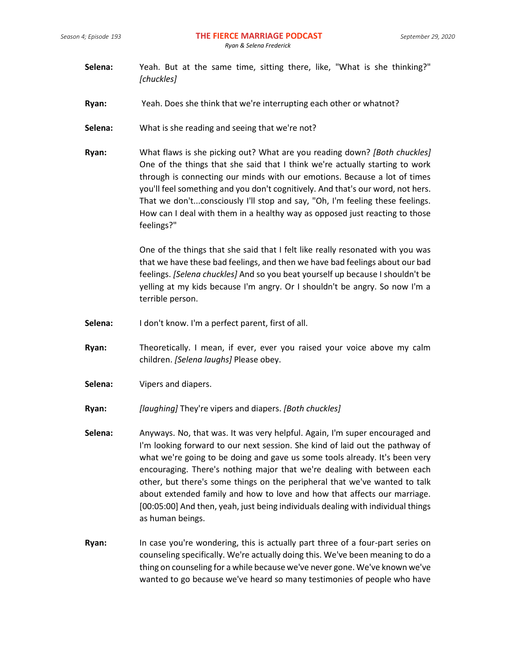- **Selena:** Yeah. But at the same time, sitting there, like, "What is she thinking?" *[chuckles]*
- **Ryan:** Yeah. Does she think that we're interrupting each other or whatnot?
- **Selena:** What is she reading and seeing that we're not?
- **Ryan:** What flaws is she picking out? What are you reading down? *[Both chuckles]* One of the things that she said that I think we're actually starting to work through is connecting our minds with our emotions. Because a lot of times you'll feel something and you don't cognitively. And that's our word, not hers. That we don't...consciously I'll stop and say, "Oh, I'm feeling these feelings. How can I deal with them in a healthy way as opposed just reacting to those feelings?"

One of the things that she said that I felt like really resonated with you was that we have these bad feelings, and then we have bad feelings about our bad feelings. *[Selena chuckles]* And so you beat yourself up because I shouldn't be yelling at my kids because I'm angry. Or I shouldn't be angry. So now I'm a terrible person.

- **Selena:** I don't know. I'm a perfect parent, first of all.
- **Ryan:** Theoretically. I mean, if ever, ever you raised your voice above my calm children. *[Selena laughs]* Please obey.
- **Selena:** Vipers and diapers.
- **Ryan:** *[laughing]* They're vipers and diapers. *[Both chuckles]*
- **Selena:** Anyways. No, that was. It was very helpful. Again, I'm super encouraged and I'm looking forward to our next session. She kind of laid out the pathway of what we're going to be doing and gave us some tools already. It's been very encouraging. There's nothing major that we're dealing with between each other, but there's some things on the peripheral that we've wanted to talk about extended family and how to love and how that affects our marriage. [00:05:00] And then, yeah, just being individuals dealing with individual things as human beings.
- **Ryan:** In case you're wondering, this is actually part three of a four-part series on counseling specifically. We're actually doing this. We've been meaning to do a thing on counseling for a while because we've never gone. We've known we've wanted to go because we've heard so many testimonies of people who have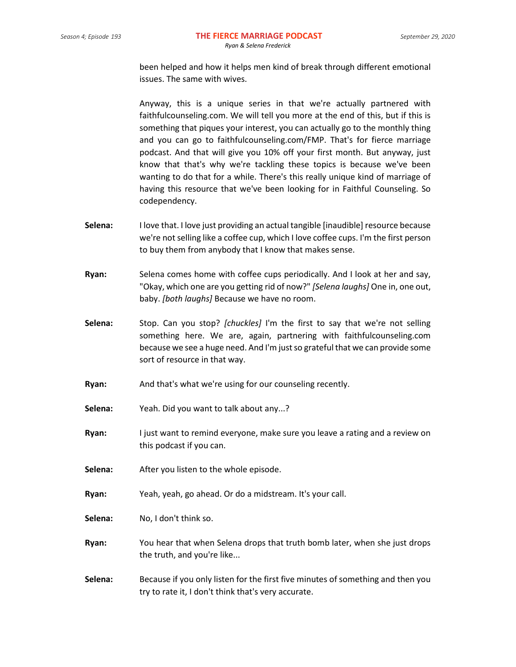been helped and how it helps men kind of break through different emotional issues. The same with wives.

Anyway, this is a unique series in that we're actually partnered with faithfulcounseling.com. We will tell you more at the end of this, but if this is something that piques your interest, you can actually go to the monthly thing and you can go to faithfulcounseling.com/FMP. That's for fierce marriage podcast. And that will give you 10% off your first month. But anyway, just know that that's why we're tackling these topics is because we've been wanting to do that for a while. There's this really unique kind of marriage of having this resource that we've been looking for in Faithful Counseling. So codependency.

- **Selena:** I love that. I love just providing an actual tangible [inaudible] resource because we're not selling like a coffee cup, which I love coffee cups. I'm the first person to buy them from anybody that I know that makes sense.
- **Ryan:** Selena comes home with coffee cups periodically. And I look at her and say, "Okay, which one are you getting rid of now?" *[Selena laughs]* One in, one out, baby. *[both laughs]* Because we have no room.
- **Selena:** Stop. Can you stop? *[chuckles]* I'm the first to say that we're not selling something here. We are, again, partnering with faithfulcounseling.com because we see a huge need. And I'm just so grateful that we can provide some sort of resource in that way.
- **Ryan:** And that's what we're using for our counseling recently.
- **Selena:** Yeah. Did you want to talk about any...?
- **Ryan:** I just want to remind everyone, make sure you leave a rating and a review on this podcast if you can.
- **Selena:** After you listen to the whole episode.
- **Ryan:** Yeah, yeah, go ahead. Or do a midstream. It's your call.
- **Selena:** No, I don't think so.
- **Ryan:** You hear that when Selena drops that truth bomb later, when she just drops the truth, and you're like...
- **Selena:** Because if you only listen for the first five minutes of something and then you try to rate it, I don't think that's very accurate.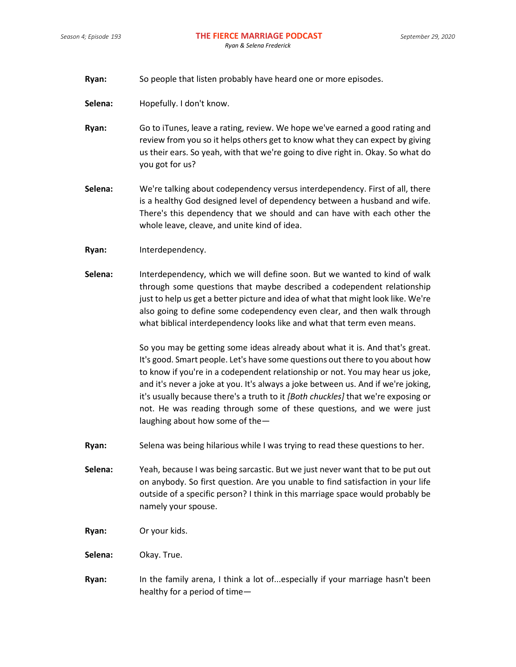- **Ryan:** So people that listen probably have heard one or more episodes.
- **Selena:** Hopefully. I don't know.
- **Ryan:** Go to iTunes, leave a rating, review. We hope we've earned a good rating and review from you so it helps others get to know what they can expect by giving us their ears. So yeah, with that we're going to dive right in. Okay. So what do you got for us?
- **Selena:** We're talking about codependency versus interdependency. First of all, there is a healthy God designed level of dependency between a husband and wife. There's this dependency that we should and can have with each other the whole leave, cleave, and unite kind of idea.
- **Ryan:** Interdependency.
- **Selena:** Interdependency, which we will define soon. But we wanted to kind of walk through some questions that maybe described a codependent relationship just to help us get a better picture and idea of what that might look like. We're also going to define some codependency even clear, and then walk through what biblical interdependency looks like and what that term even means.

So you may be getting some ideas already about what it is. And that's great. It's good. Smart people. Let's have some questions out there to you about how to know if you're in a codependent relationship or not. You may hear us joke, and it's never a joke at you. It's always a joke between us. And if we're joking, it's usually because there's a truth to it *[Both chuckles]* that we're exposing or not. He was reading through some of these questions, and we were just laughing about how some of the—

- **Ryan:** Selena was being hilarious while I was trying to read these questions to her.
- **Selena:** Yeah, because I was being sarcastic. But we just never want that to be put out on anybody. So first question. Are you unable to find satisfaction in your life outside of a specific person? I think in this marriage space would probably be namely your spouse.
- **Ryan:** Or your kids.
- **Selena:** Okay. True.
- **Ryan:** In the family arena, I think a lot of...especially if your marriage hasn't been healthy for a period of time—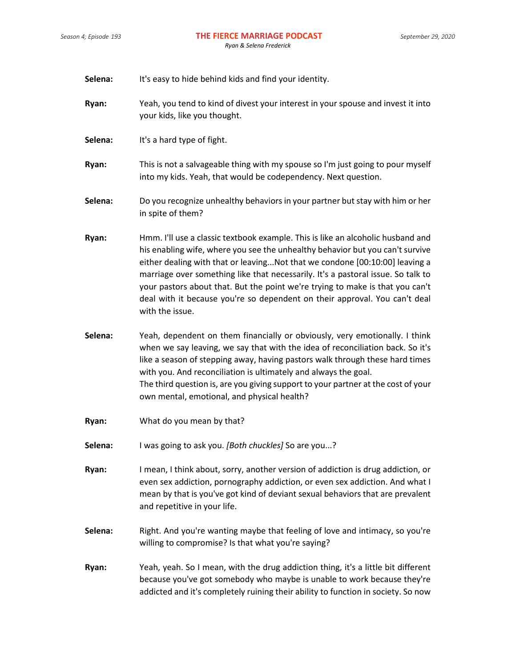**Selena:** It's easy to hide behind kids and find your identity.

- **Ryan:** Yeah, you tend to kind of divest your interest in your spouse and invest it into your kids, like you thought.
- **Selena:** It's a hard type of fight.

**Ryan:** This is not a salvageable thing with my spouse so I'm just going to pour myself into my kids. Yeah, that would be codependency. Next question.

- **Selena:** Do you recognize unhealthy behaviors in your partner but stay with him or her in spite of them?
- **Ryan:** Hmm. I'll use a classic textbook example. This is like an alcoholic husband and his enabling wife, where you see the unhealthy behavior but you can't survive either dealing with that or leaving...Not that we condone [00:10:00] leaving a marriage over something like that necessarily. It's a pastoral issue. So talk to your pastors about that. But the point we're trying to make is that you can't deal with it because you're so dependent on their approval. You can't deal with the issue.
- **Selena:** Yeah, dependent on them financially or obviously, very emotionally. I think when we say leaving, we say that with the idea of reconciliation back. So it's like a season of stepping away, having pastors walk through these hard times with you. And reconciliation is ultimately and always the goal. The third question is, are you giving support to your partner at the cost of your own mental, emotional, and physical health?
- **Ryan:** What do you mean by that?
- **Selena:** I was going to ask you. *[Both chuckles]* So are you...?
- **Ryan:** I mean, I think about, sorry, another version of addiction is drug addiction, or even sex addiction, pornography addiction, or even sex addiction. And what I mean by that is you've got kind of deviant sexual behaviors that are prevalent and repetitive in your life.
- **Selena:** Right. And you're wanting maybe that feeling of love and intimacy, so you're willing to compromise? Is that what you're saying?
- **Ryan:** Yeah, yeah. So I mean, with the drug addiction thing, it's a little bit different because you've got somebody who maybe is unable to work because they're addicted and it's completely ruining their ability to function in society. So now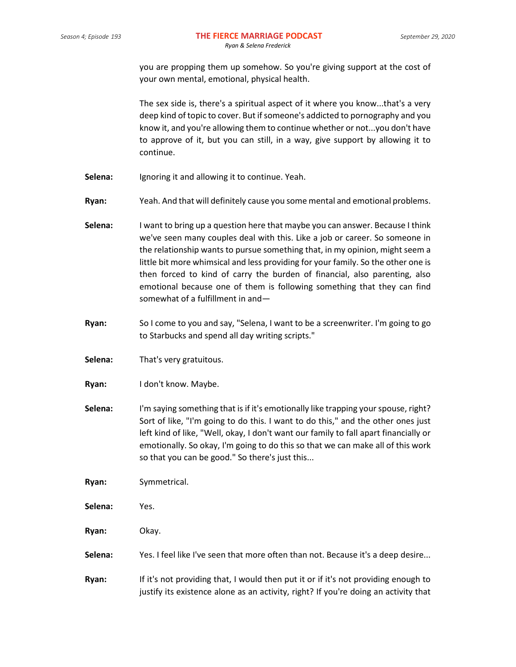you are propping them up somehow. So you're giving support at the cost of your own mental, emotional, physical health.

The sex side is, there's a spiritual aspect of it where you know...that's a very deep kind of topic to cover. But if someone's addicted to pornography and you know it, and you're allowing them to continue whether or not...you don't have to approve of it, but you can still, in a way, give support by allowing it to continue.

- **Selena:** Ignoring it and allowing it to continue. Yeah.
- **Ryan:** Yeah. And that will definitely cause you some mental and emotional problems.
- **Selena:** I want to bring up a question here that maybe you can answer. Because I think we've seen many couples deal with this. Like a job or career. So someone in the relationship wants to pursue something that, in my opinion, might seem a little bit more whimsical and less providing for your family. So the other one is then forced to kind of carry the burden of financial, also parenting, also emotional because one of them is following something that they can find somewhat of a fulfillment in and—
- **Ryan:** So I come to you and say, "Selena, I want to be a screenwriter. I'm going to go to Starbucks and spend all day writing scripts."
- **Selena:** That's very gratuitous.
- **Ryan:** I don't know. Maybe.
- **Selena:** I'm saying something that is if it's emotionally like trapping your spouse, right? Sort of like, "I'm going to do this. I want to do this," and the other ones just left kind of like, "Well, okay, I don't want our family to fall apart financially or emotionally. So okay, I'm going to do this so that we can make all of this work so that you can be good." So there's just this...

**Ryan:** Symmetrical.

- **Selena:** Yes.
- **Ryan:** Okay.
- **Selena:** Yes. I feel like I've seen that more often than not. Because it's a deep desire...
- **Ryan:** If it's not providing that, I would then put it or if it's not providing enough to justify its existence alone as an activity, right? If you're doing an activity that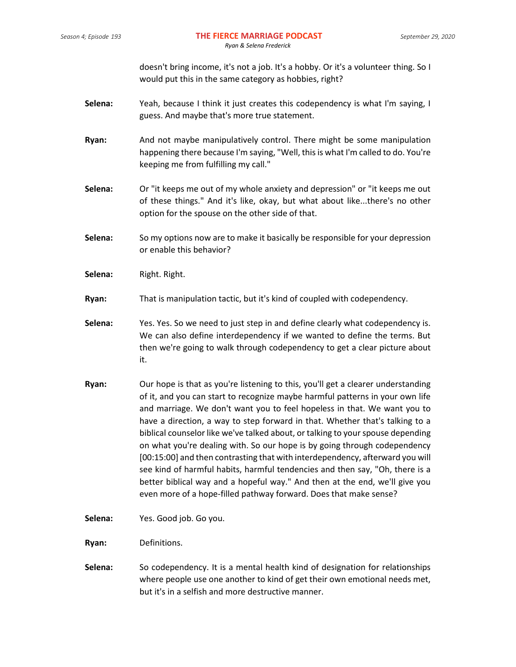doesn't bring income, it's not a job. It's a hobby. Or it's a volunteer thing. So I would put this in the same category as hobbies, right?

- **Selena:** Yeah, because I think it just creates this codependency is what I'm saying, I guess. And maybe that's more true statement.
- **Ryan:** And not maybe manipulatively control. There might be some manipulation happening there because I'm saying, "Well, this is what I'm called to do. You're keeping me from fulfilling my call."
- **Selena:** Or "it keeps me out of my whole anxiety and depression" or "it keeps me out of these things." And it's like, okay, but what about like...there's no other option for the spouse on the other side of that.
- **Selena:** So my options now are to make it basically be responsible for your depression or enable this behavior?
- **Selena:** Right. Right.
- **Ryan:** That is manipulation tactic, but it's kind of coupled with codependency.
- **Selena:** Yes. Yes. So we need to just step in and define clearly what codependency is. We can also define interdependency if we wanted to define the terms. But then we're going to walk through codependency to get a clear picture about it.
- **Ryan:** Our hope is that as you're listening to this, you'll get a clearer understanding of it, and you can start to recognize maybe harmful patterns in your own life and marriage. We don't want you to feel hopeless in that. We want you to have a direction, a way to step forward in that. Whether that's talking to a biblical counselor like we've talked about, or talking to your spouse depending on what you're dealing with. So our hope is by going through codependency [00:15:00] and then contrasting that with interdependency, afterward you will see kind of harmful habits, harmful tendencies and then say, "Oh, there is a better biblical way and a hopeful way." And then at the end, we'll give you even more of a hope-filled pathway forward. Does that make sense?
- **Selena:** Yes. Good job. Go you.
- **Ryan:** Definitions.
- **Selena:** So codependency. It is a mental health kind of designation for relationships where people use one another to kind of get their own emotional needs met, but it's in a selfish and more destructive manner.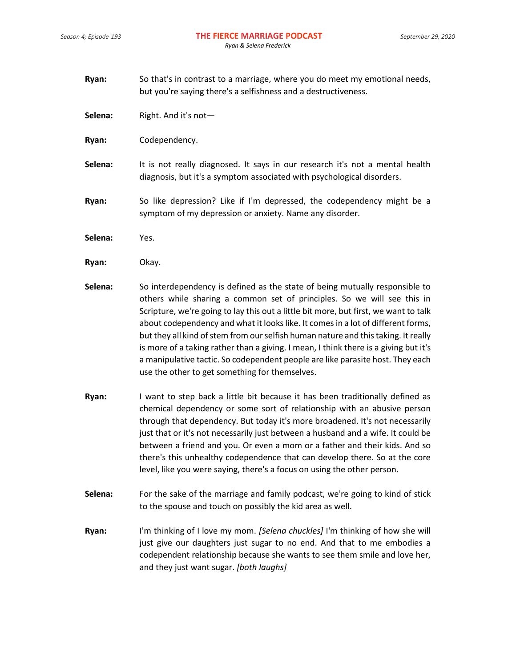- **Ryan:** So that's in contrast to a marriage, where you do meet my emotional needs, but you're saying there's a selfishness and a destructiveness.
- **Selena:** Right. And it's not—
- **Ryan:** Codependency.
- **Selena:** It is not really diagnosed. It says in our research it's not a mental health diagnosis, but it's a symptom associated with psychological disorders.
- **Ryan:** So like depression? Like if I'm depressed, the codependency might be a symptom of my depression or anxiety. Name any disorder.
- **Selena:** Yes.
- **Ryan:** Okay.
- **Selena:** So interdependency is defined as the state of being mutually responsible to others while sharing a common set of principles. So we will see this in Scripture, we're going to lay this out a little bit more, but first, we want to talk about codependency and what it looks like. It comes in a lot of different forms, but they all kind of stem from our selfish human nature and this taking. It really is more of a taking rather than a giving. I mean, I think there is a giving but it's a manipulative tactic. So codependent people are like parasite host. They each use the other to get something for themselves.
- **Ryan:** I want to step back a little bit because it has been traditionally defined as chemical dependency or some sort of relationship with an abusive person through that dependency. But today it's more broadened. It's not necessarily just that or it's not necessarily just between a husband and a wife. It could be between a friend and you. Or even a mom or a father and their kids. And so there's this unhealthy codependence that can develop there. So at the core level, like you were saying, there's a focus on using the other person.
- **Selena:** For the sake of the marriage and family podcast, we're going to kind of stick to the spouse and touch on possibly the kid area as well.
- **Ryan:** I'm thinking of I love my mom. *[Selena chuckles]* I'm thinking of how she will just give our daughters just sugar to no end. And that to me embodies a codependent relationship because she wants to see them smile and love her, and they just want sugar. *[both laughs]*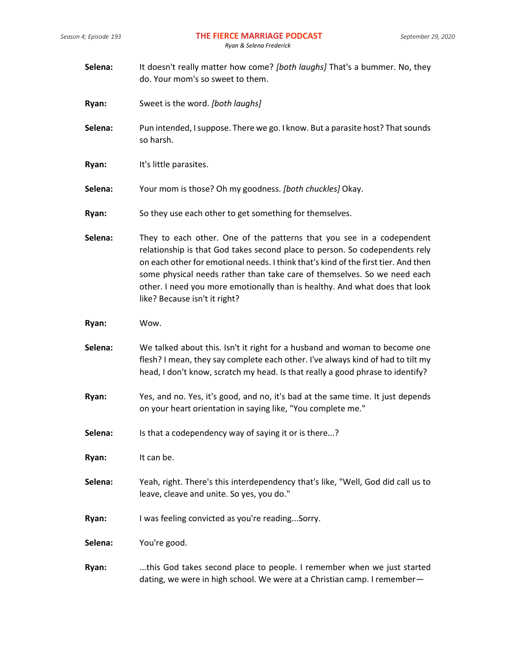| Selena: | It doesn't really matter how come? [both laughs] That's a bummer. No, they<br>do. Your mom's so sweet to them.                                                                                                                                                                                                                                                                                                                         |  |
|---------|----------------------------------------------------------------------------------------------------------------------------------------------------------------------------------------------------------------------------------------------------------------------------------------------------------------------------------------------------------------------------------------------------------------------------------------|--|
| Ryan:   | Sweet is the word. [both laughs]                                                                                                                                                                                                                                                                                                                                                                                                       |  |
| Selena: | Pun intended, I suppose. There we go. I know. But a parasite host? That sounds<br>so harsh.                                                                                                                                                                                                                                                                                                                                            |  |
| Ryan:   | It's little parasites.                                                                                                                                                                                                                                                                                                                                                                                                                 |  |
| Selena: | Your mom is those? Oh my goodness. [both chuckles] Okay.                                                                                                                                                                                                                                                                                                                                                                               |  |
| Ryan:   | So they use each other to get something for themselves.                                                                                                                                                                                                                                                                                                                                                                                |  |
| Selena: | They to each other. One of the patterns that you see in a codependent<br>relationship is that God takes second place to person. So codependents rely<br>on each other for emotional needs. I think that's kind of the first tier. And then<br>some physical needs rather than take care of themselves. So we need each<br>other. I need you more emotionally than is healthy. And what does that look<br>like? Because isn't it right? |  |
| Ryan:   | Wow.                                                                                                                                                                                                                                                                                                                                                                                                                                   |  |
| Selena: | We talked about this. Isn't it right for a husband and woman to become one<br>flesh? I mean, they say complete each other. I've always kind of had to tilt my<br>head, I don't know, scratch my head. Is that really a good phrase to identify?                                                                                                                                                                                        |  |
| Ryan:   | Yes, and no. Yes, it's good, and no, it's bad at the same time. It just depends<br>on your heart orientation in saying like, "You complete me."                                                                                                                                                                                                                                                                                        |  |
| Selena: | Is that a codependency way of saying it or is there?                                                                                                                                                                                                                                                                                                                                                                                   |  |
| Ryan:   | It can be.                                                                                                                                                                                                                                                                                                                                                                                                                             |  |
| Selena: | Yeah, right. There's this interdependency that's like, "Well, God did call us to<br>leave, cleave and unite. So yes, you do."                                                                                                                                                                                                                                                                                                          |  |
| Ryan:   | I was feeling convicted as you're readingSorry.                                                                                                                                                                                                                                                                                                                                                                                        |  |
| Selena: | You're good.                                                                                                                                                                                                                                                                                                                                                                                                                           |  |
| Ryan:   | this God takes second place to people. I remember when we just started<br>dating, we were in high school. We were at a Christian camp. I remember—                                                                                                                                                                                                                                                                                     |  |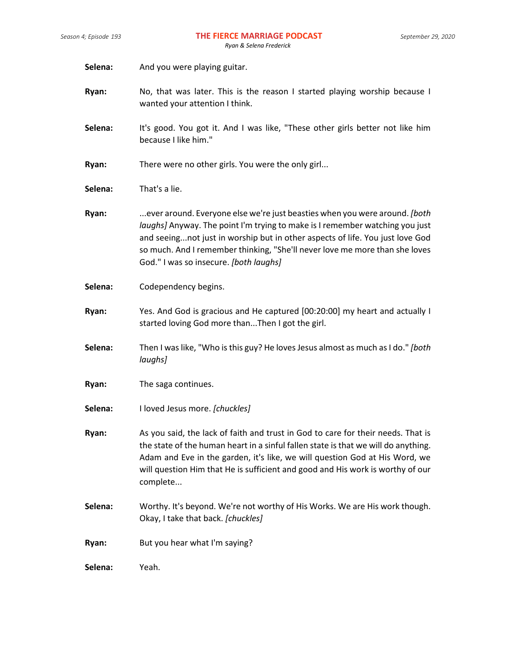- Selena: And you were playing guitar.
- **Ryan:** No, that was later. This is the reason I started playing worship because I wanted your attention I think.
- **Selena:** It's good. You got it. And I was like, "These other girls better not like him because I like him."
- **Ryan:** There were no other girls. You were the only girl...
- **Selena:** That's a lie.
- **Ryan:** ...ever around. Everyone else we're just beasties when you were around. *[both laughs]* Anyway. The point I'm trying to make is I remember watching you just and seeing...not just in worship but in other aspects of life. You just love God so much. And I remember thinking, "She'll never love me more than she loves God." I was so insecure. *[both laughs]*
- **Selena:** Codependency begins.
- **Ryan:** Yes. And God is gracious and He captured [00:20:00] my heart and actually I started loving God more than...Then I got the girl.
- **Selena:** Then I was like, "Who is this guy? He loves Jesus almost as much as I do." *[both laughs]*
- **Ryan:** The saga continues.
- **Selena:** I loved Jesus more. *[chuckles]*
- **Ryan:** As you said, the lack of faith and trust in God to care for their needs. That is the state of the human heart in a sinful fallen state is that we will do anything. Adam and Eve in the garden, it's like, we will question God at His Word, we will question Him that He is sufficient and good and His work is worthy of our complete...
- **Selena:** Worthy. It's beyond. We're not worthy of His Works. We are His work though. Okay, I take that back. *[chuckles]*
- **Ryan:** But you hear what I'm saying?

**Selena:** Yeah.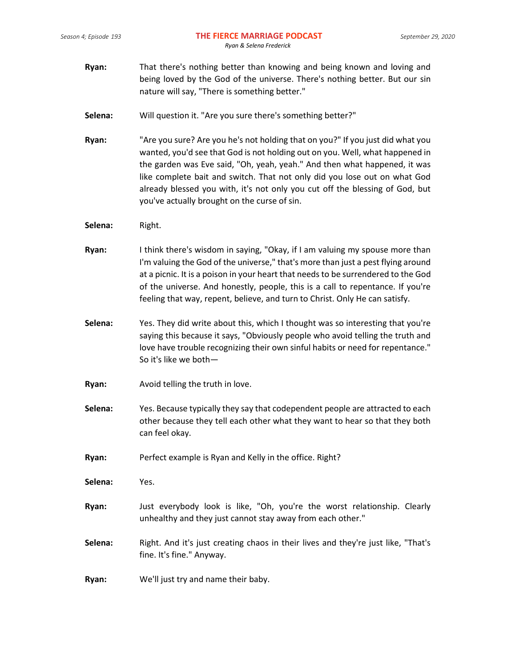- **Ryan:** That there's nothing better than knowing and being known and loving and being loved by the God of the universe. There's nothing better. But our sin nature will say, "There is something better."
- **Selena:** Will question it. "Are you sure there's something better?"
- **Ryan:** "Are you sure? Are you he's not holding that on you?" If you just did what you wanted, you'd see that God is not holding out on you. Well, what happened in the garden was Eve said, "Oh, yeah, yeah." And then what happened, it was like complete bait and switch. That not only did you lose out on what God already blessed you with, it's not only you cut off the blessing of God, but you've actually brought on the curse of sin.
- **Selena:** Right.
- **Ryan:** I think there's wisdom in saying, "Okay, if I am valuing my spouse more than I'm valuing the God of the universe," that's more than just a pest flying around at a picnic. It is a poison in your heart that needs to be surrendered to the God of the universe. And honestly, people, this is a call to repentance. If you're feeling that way, repent, believe, and turn to Christ. Only He can satisfy.
- **Selena:** Yes. They did write about this, which I thought was so interesting that you're saying this because it says, "Obviously people who avoid telling the truth and love have trouble recognizing their own sinful habits or need for repentance." So it's like we both—
- **Ryan:** Avoid telling the truth in love.
- **Selena:** Yes. Because typically they say that codependent people are attracted to each other because they tell each other what they want to hear so that they both can feel okay.
- **Ryan:** Perfect example is Ryan and Kelly in the office. Right?

**Selena:** Yes.

- **Ryan:** Just everybody look is like, "Oh, you're the worst relationship. Clearly unhealthy and they just cannot stay away from each other."
- **Selena:** Right. And it's just creating chaos in their lives and they're just like, "That's fine. It's fine." Anyway.
- **Ryan:** We'll just try and name their baby.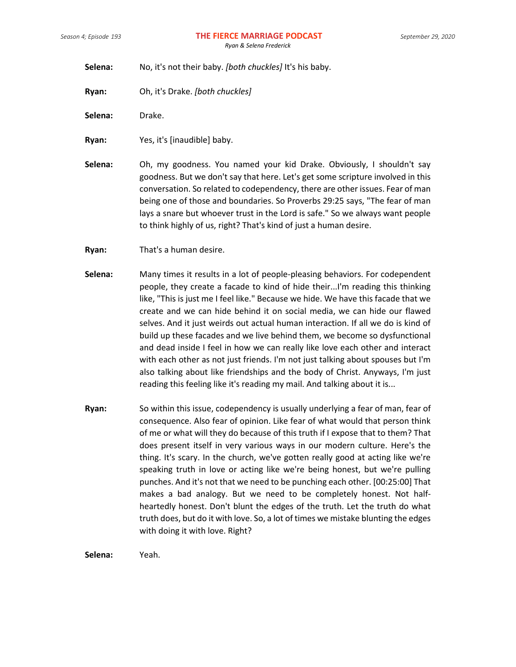**Selena:** No, it's not their baby. *[both chuckles]* It's his baby.

**Ryan:** Oh, it's Drake. *[both chuckles]*

Selena: Drake.

**Ryan:** Yes, it's [inaudible] baby.

**Selena:** Oh, my goodness. You named your kid Drake. Obviously, I shouldn't say goodness. But we don't say that here. Let's get some scripture involved in this conversation. So related to codependency, there are other issues. Fear of man being one of those and boundaries. So Proverbs 29:25 says, "The fear of man lays a snare but whoever trust in the Lord is safe." So we always want people to think highly of us, right? That's kind of just a human desire.

**Ryan:** That's a human desire.

- **Selena:** Many times it results in a lot of people-pleasing behaviors. For codependent people, they create a facade to kind of hide their...I'm reading this thinking like, "This is just me I feel like." Because we hide. We have this facade that we create and we can hide behind it on social media, we can hide our flawed selves. And it just weirds out actual human interaction. If all we do is kind of build up these facades and we live behind them, we become so dysfunctional and dead inside I feel in how we can really like love each other and interact with each other as not just friends. I'm not just talking about spouses but I'm also talking about like friendships and the body of Christ. Anyways, I'm just reading this feeling like it's reading my mail. And talking about it is...
- **Ryan:** So within this issue, codependency is usually underlying a fear of man, fear of consequence. Also fear of opinion. Like fear of what would that person think of me or what will they do because of this truth if I expose that to them? That does present itself in very various ways in our modern culture. Here's the thing. It's scary. In the church, we've gotten really good at acting like we're speaking truth in love or acting like we're being honest, but we're pulling punches. And it's not that we need to be punching each other. [00:25:00] That makes a bad analogy. But we need to be completely honest. Not halfheartedly honest. Don't blunt the edges of the truth. Let the truth do what truth does, but do it with love. So, a lot of times we mistake blunting the edges with doing it with love. Right?

**Selena:** Yeah.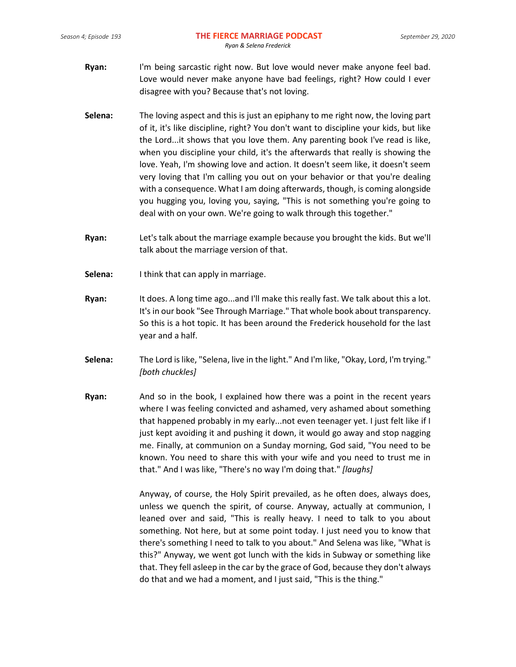- **Ryan:** I'm being sarcastic right now. But love would never make anyone feel bad. Love would never make anyone have bad feelings, right? How could I ever disagree with you? Because that's not loving.
- **Selena:** The loving aspect and this is just an epiphany to me right now, the loving part of it, it's like discipline, right? You don't want to discipline your kids, but like the Lord...it shows that you love them. Any parenting book I've read is like, when you discipline your child, it's the afterwards that really is showing the love. Yeah, I'm showing love and action. It doesn't seem like, it doesn't seem very loving that I'm calling you out on your behavior or that you're dealing with a consequence. What I am doing afterwards, though, is coming alongside you hugging you, loving you, saying, "This is not something you're going to deal with on your own. We're going to walk through this together."
- **Ryan:** Let's talk about the marriage example because you brought the kids. But we'll talk about the marriage version of that.
- **Selena:** I think that can apply in marriage.
- **Ryan:** It does. A long time ago...and I'll make this really fast. We talk about this a lot. It's in our book "See Through Marriage." That whole book about transparency. So this is a hot topic. It has been around the Frederick household for the last year and a half.
- **Selena:** The Lord is like, "Selena, live in the light." And I'm like, "Okay, Lord, I'm trying." *[both chuckles]*
- **Ryan:** And so in the book, I explained how there was a point in the recent years where I was feeling convicted and ashamed, very ashamed about something that happened probably in my early...not even teenager yet. I just felt like if I just kept avoiding it and pushing it down, it would go away and stop nagging me. Finally, at communion on a Sunday morning, God said, "You need to be known. You need to share this with your wife and you need to trust me in that." And I was like, "There's no way I'm doing that." *[laughs]*

Anyway, of course, the Holy Spirit prevailed, as he often does, always does, unless we quench the spirit, of course. Anyway, actually at communion, I leaned over and said, "This is really heavy. I need to talk to you about something. Not here, but at some point today. I just need you to know that there's something I need to talk to you about." And Selena was like, "What is this?" Anyway, we went got lunch with the kids in Subway or something like that. They fell asleep in the car by the grace of God, because they don't always do that and we had a moment, and I just said, "This is the thing."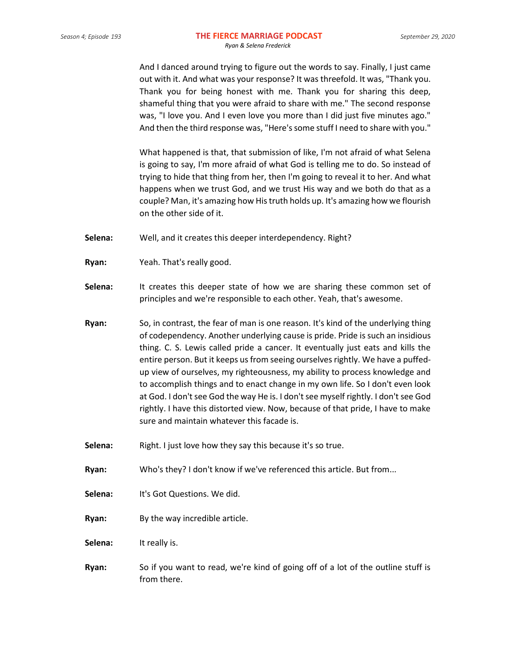And I danced around trying to figure out the words to say. Finally, I just came out with it. And what was your response? It was threefold. It was, "Thank you. Thank you for being honest with me. Thank you for sharing this deep, shameful thing that you were afraid to share with me." The second response was, "I love you. And I even love you more than I did just five minutes ago." And then the third response was, "Here's some stuff I need to share with you."

What happened is that, that submission of like, I'm not afraid of what Selena is going to say, I'm more afraid of what God is telling me to do. So instead of trying to hide that thing from her, then I'm going to reveal it to her. And what happens when we trust God, and we trust His way and we both do that as a couple? Man, it's amazing how His truth holds up. It's amazing how we flourish on the other side of it.

- **Selena:** Well, and it creates this deeper interdependency. Right?
- **Ryan:** Yeah. That's really good.
- **Selena:** It creates this deeper state of how we are sharing these common set of principles and we're responsible to each other. Yeah, that's awesome.
- **Ryan:** So, in contrast, the fear of man is one reason. It's kind of the underlying thing of codependency. Another underlying cause is pride. Pride is such an insidious thing. C. S. Lewis called pride a cancer. It eventually just eats and kills the entire person. But it keeps us from seeing ourselves rightly. We have a puffedup view of ourselves, my righteousness, my ability to process knowledge and to accomplish things and to enact change in my own life. So I don't even look at God. I don't see God the way He is. I don't see myself rightly. I don't see God rightly. I have this distorted view. Now, because of that pride, I have to make sure and maintain whatever this facade is.
- **Selena:** Right. I just love how they say this because it's so true.
- **Ryan:** Who's they? I don't know if we've referenced this article. But from...
- **Selena:** It's Got Questions. We did.
- **Ryan:** By the way incredible article.
- Selena: It really is.
- **Ryan:** So if you want to read, we're kind of going off of a lot of the outline stuff is from there.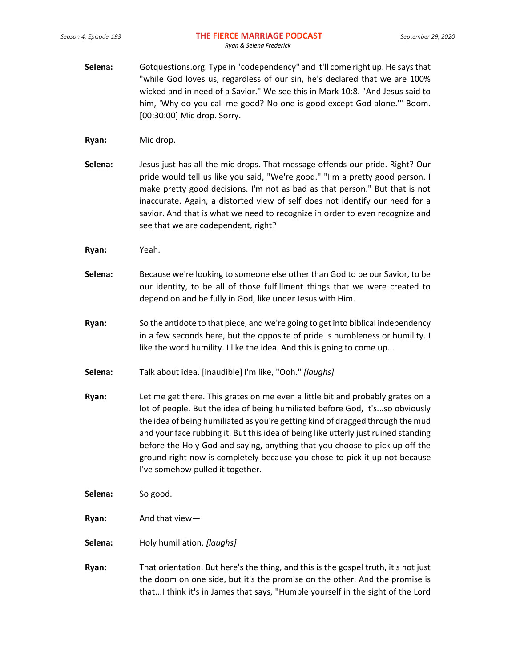- **Selena:** Gotquestions.org. Type in "codependency" and it'll come right up. He says that "while God loves us, regardless of our sin, he's declared that we are 100% wicked and in need of a Savior." We see this in Mark 10:8. "And Jesus said to him, 'Why do you call me good? No one is good except God alone.'" Boom. [00:30:00] Mic drop. Sorry.
- **Ryan:** Mic drop.
- **Selena:** Jesus just has all the mic drops. That message offends our pride. Right? Our pride would tell us like you said, "We're good." "I'm a pretty good person. I make pretty good decisions. I'm not as bad as that person." But that is not inaccurate. Again, a distorted view of self does not identify our need for a savior. And that is what we need to recognize in order to even recognize and see that we are codependent, right?
- **Ryan:** Yeah.
- **Selena:** Because we're looking to someone else other than God to be our Savior, to be our identity, to be all of those fulfillment things that we were created to depend on and be fully in God, like under Jesus with Him.
- **Ryan:** So the antidote to that piece, and we're going to get into biblical independency in a few seconds here, but the opposite of pride is humbleness or humility. I like the word humility. I like the idea. And this is going to come up...
- **Selena:** Talk about idea. [inaudible] I'm like, "Ooh." *[laughs]*
- **Ryan:** Let me get there. This grates on me even a little bit and probably grates on a lot of people. But the idea of being humiliated before God, it's...so obviously the idea of being humiliated as you're getting kind of dragged through the mud and your face rubbing it. But this idea of being like utterly just ruined standing before the Holy God and saying, anything that you choose to pick up off the ground right now is completely because you chose to pick it up not because I've somehow pulled it together.
- **Selena:** So good.
- **Ryan:** And that view—
- **Selena:** Holy humiliation. *[laughs]*
- **Ryan:** That orientation. But here's the thing, and this is the gospel truth, it's not just the doom on one side, but it's the promise on the other. And the promise is that...I think it's in James that says, "Humble yourself in the sight of the Lord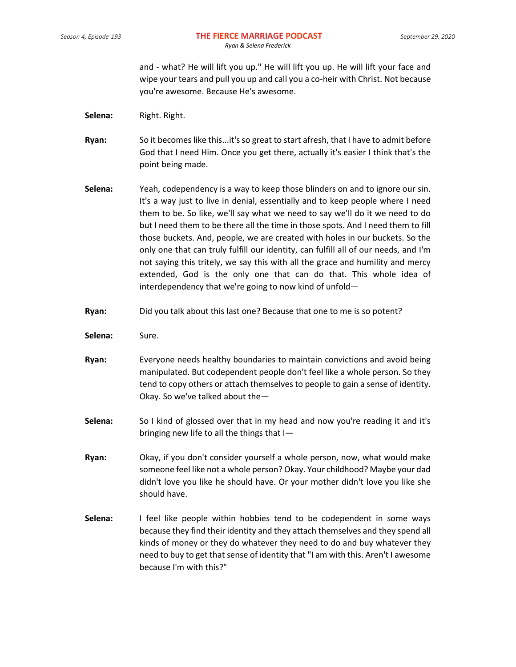and - what? He will lift you up." He will lift you up. He will lift your face and wipe your tears and pull you up and call you a co-heir with Christ. Not because you're awesome. Because He's awesome.

- Selena: Right. Right.
- **Ryan:** So it becomes like this...it's so great to start afresh, that I have to admit before God that I need Him. Once you get there, actually it's easier I think that's the point being made.
- **Selena:** Yeah, codependency is a way to keep those blinders on and to ignore our sin. It's a way just to live in denial, essentially and to keep people where I need them to be. So like, we'll say what we need to say we'll do it we need to do but I need them to be there all the time in those spots. And I need them to fill those buckets. And, people, we are created with holes in our buckets. So the only one that can truly fulfill our identity, can fulfill all of our needs, and I'm not saying this tritely, we say this with all the grace and humility and mercy extended, God is the only one that can do that. This whole idea of interdependency that we're going to now kind of unfold—
- **Ryan:** Did you talk about this last one? Because that one to me is so potent?
- **Selena:** Sure.
- **Ryan:** Everyone needs healthy boundaries to maintain convictions and avoid being manipulated. But codependent people don't feel like a whole person. So they tend to copy others or attach themselves to people to gain a sense of identity. Okay. So we've talked about the—
- **Selena:** So I kind of glossed over that in my head and now you're reading it and it's bringing new life to all the things that I—
- **Ryan:** Okay, if you don't consider yourself a whole person, now, what would make someone feel like not a whole person? Okay. Your childhood? Maybe your dad didn't love you like he should have. Or your mother didn't love you like she should have.
- **Selena:** I feel like people within hobbies tend to be codependent in some ways because they find their identity and they attach themselves and they spend all kinds of money or they do whatever they need to do and buy whatever they need to buy to get that sense of identity that "I am with this. Aren't I awesome because I'm with this?"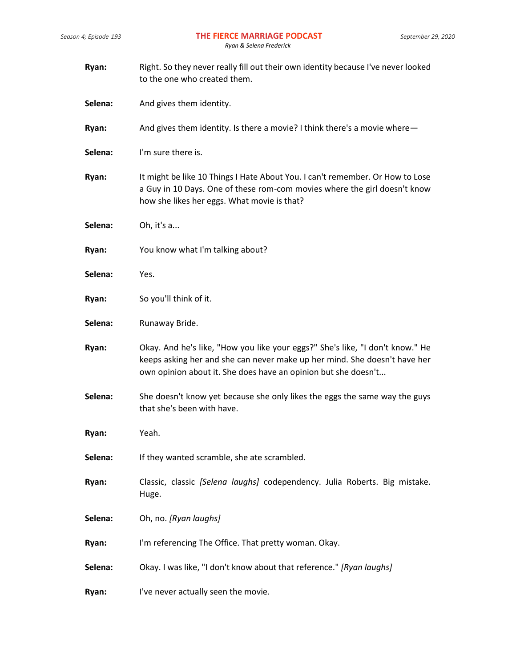| Ryan:   | Right. So they never really fill out their own identity because I've never looked<br>to the one who created them.                                                                                                            |  |
|---------|------------------------------------------------------------------------------------------------------------------------------------------------------------------------------------------------------------------------------|--|
| Selena: | And gives them identity.                                                                                                                                                                                                     |  |
| Ryan:   | And gives them identity. Is there a movie? I think there's a movie where-                                                                                                                                                    |  |
| Selena: | I'm sure there is.                                                                                                                                                                                                           |  |
| Ryan:   | It might be like 10 Things I Hate About You. I can't remember. Or How to Lose<br>a Guy in 10 Days. One of these rom-com movies where the girl doesn't know<br>how she likes her eggs. What movie is that?                    |  |
| Selena: | Oh, it's a                                                                                                                                                                                                                   |  |
| Ryan:   | You know what I'm talking about?                                                                                                                                                                                             |  |
| Selena: | Yes.                                                                                                                                                                                                                         |  |
| Ryan:   | So you'll think of it.                                                                                                                                                                                                       |  |
| Selena: | Runaway Bride.                                                                                                                                                                                                               |  |
| Ryan:   | Okay. And he's like, "How you like your eggs?" She's like, "I don't know." He<br>keeps asking her and she can never make up her mind. She doesn't have her<br>own opinion about it. She does have an opinion but she doesn't |  |
| Selena: | She doesn't know yet because she only likes the eggs the same way the guys<br>that she's been with have.                                                                                                                     |  |
| Ryan:   | Yeah.                                                                                                                                                                                                                        |  |
| Selena: | If they wanted scramble, she ate scrambled.                                                                                                                                                                                  |  |
| Ryan:   | Classic, classic [Selena laughs] codependency. Julia Roberts. Big mistake.<br>Huge.                                                                                                                                          |  |
| Selena: | Oh, no. [Ryan laughs]                                                                                                                                                                                                        |  |
| Ryan:   | I'm referencing The Office. That pretty woman. Okay.                                                                                                                                                                         |  |
| Selena: | Okay. I was like, "I don't know about that reference." [Ryan laughs]                                                                                                                                                         |  |
| Ryan:   | I've never actually seen the movie.                                                                                                                                                                                          |  |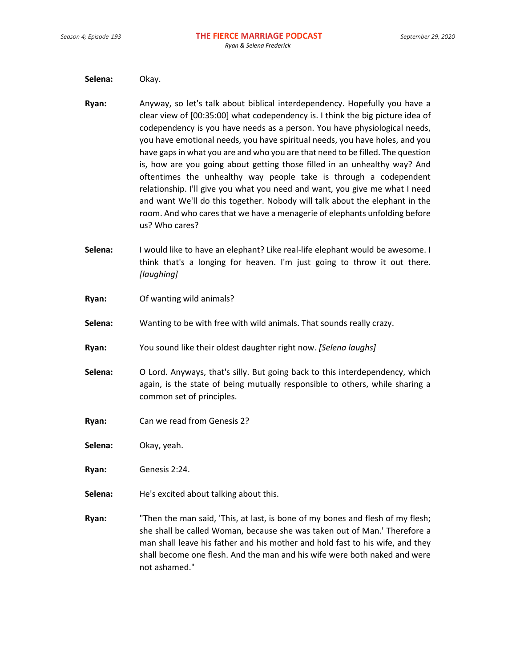**Selena:** Okay.

- **Ryan:** Anyway, so let's talk about biblical interdependency. Hopefully you have a clear view of [00:35:00] what codependency is. I think the big picture idea of codependency is you have needs as a person. You have physiological needs, you have emotional needs, you have spiritual needs, you have holes, and you have gaps in what you are and who you are that need to be filled. The question is, how are you going about getting those filled in an unhealthy way? And oftentimes the unhealthy way people take is through a codependent relationship. I'll give you what you need and want, you give me what I need and want We'll do this together. Nobody will talk about the elephant in the room. And who cares that we have a menagerie of elephants unfolding before us? Who cares?
- **Selena:** I would like to have an elephant? Like real-life elephant would be awesome. I think that's a longing for heaven. I'm just going to throw it out there. *[laughing]*
- **Ryan:** Of wanting wild animals?
- **Selena:** Wanting to be with free with wild animals. That sounds really crazy.
- **Ryan:** You sound like their oldest daughter right now. *[Selena laughs]*
- **Selena:** O Lord. Anyways, that's silly. But going back to this interdependency, which again, is the state of being mutually responsible to others, while sharing a common set of principles.
- **Ryan:** Can we read from Genesis 2?
- **Selena:** Okay, yeah.

**Ryan:** Genesis 2:24.

- **Selena:** He's excited about talking about this.
- **Ryan:** "Then the man said, 'This, at last, is bone of my bones and flesh of my flesh; she shall be called Woman, because she was taken out of Man.' Therefore a man shall leave his father and his mother and hold fast to his wife, and they shall become one flesh. And the man and his wife were both naked and were not ashamed."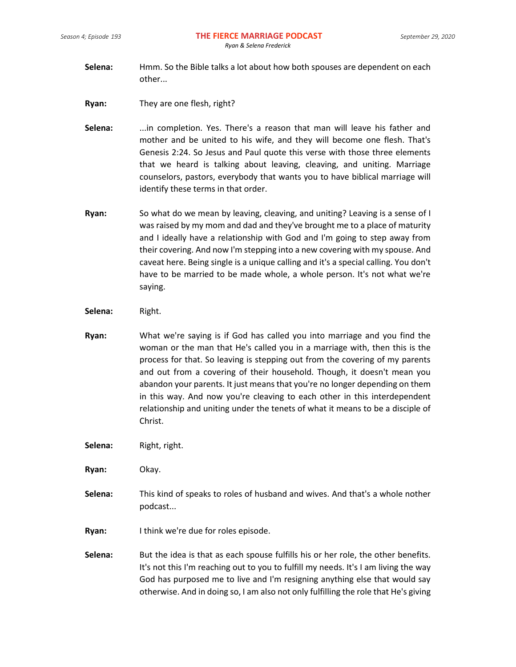- **Selena:** Hmm. So the Bible talks a lot about how both spouses are dependent on each other...
- **Ryan:** They are one flesh, right?
- **Selena:** ...in completion. Yes. There's a reason that man will leave his father and mother and be united to his wife, and they will become one flesh. That's Genesis 2:24. So Jesus and Paul quote this verse with those three elements that we heard is talking about leaving, cleaving, and uniting. Marriage counselors, pastors, everybody that wants you to have biblical marriage will identify these terms in that order.
- **Ryan:** So what do we mean by leaving, cleaving, and uniting? Leaving is a sense of I was raised by my mom and dad and they've brought me to a place of maturity and I ideally have a relationship with God and I'm going to step away from their covering. And now I'm stepping into a new covering with my spouse. And caveat here. Being single is a unique calling and it's a special calling. You don't have to be married to be made whole, a whole person. It's not what we're saying.
- **Selena:** Right.
- **Ryan:** What we're saying is if God has called you into marriage and you find the woman or the man that He's called you in a marriage with, then this is the process for that. So leaving is stepping out from the covering of my parents and out from a covering of their household. Though, it doesn't mean you abandon your parents. It just means that you're no longer depending on them in this way. And now you're cleaving to each other in this interdependent relationship and uniting under the tenets of what it means to be a disciple of Christ.
- Selena: Right, right.
- **Ryan:** Okay.
- **Selena:** This kind of speaks to roles of husband and wives. And that's a whole nother podcast...
- **Ryan:** I think we're due for roles episode.
- Selena: But the idea is that as each spouse fulfills his or her role, the other benefits. It's not this I'm reaching out to you to fulfill my needs. It's I am living the way God has purposed me to live and I'm resigning anything else that would say otherwise. And in doing so, I am also not only fulfilling the role that He's giving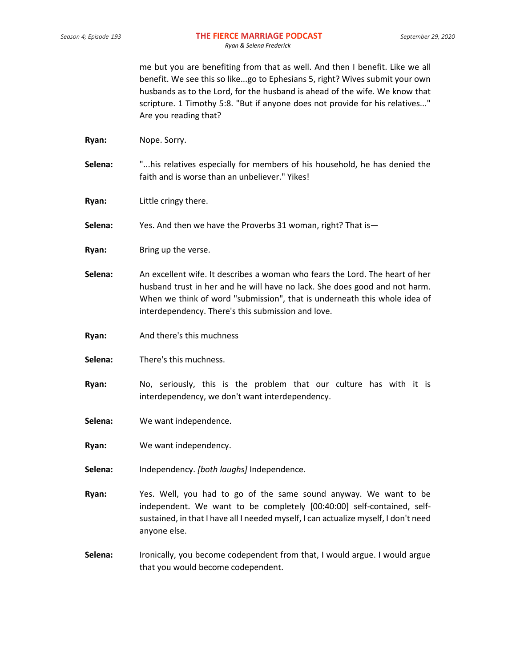me but you are benefiting from that as well. And then I benefit. Like we all benefit. We see this so like...go to Ephesians 5, right? Wives submit your own husbands as to the Lord, for the husband is ahead of the wife. We know that scripture. 1 Timothy 5:8. "But if anyone does not provide for his relatives..." Are you reading that?

- **Ryan:** Nope. Sorry.
- **Selena:** "...his relatives especially for members of his household, he has denied the faith and is worse than an unbeliever." Yikes!
- **Ryan:** Little cringy there.
- **Selena:** Yes. And then we have the Proverbs 31 woman, right? That is—
- **Ryan:** Bring up the verse.
- **Selena:** An excellent wife. It describes a woman who fears the Lord. The heart of her husband trust in her and he will have no lack. She does good and not harm. When we think of word "submission", that is underneath this whole idea of interdependency. There's this submission and love.
- **Ryan:** And there's this muchness
- **Selena:** There's this muchness.
- **Ryan:** No, seriously, this is the problem that our culture has with it is interdependency, we don't want interdependency.
- **Selena:** We want independence.
- **Ryan:** We want independency.
- **Selena:** Independency. *[both laughs]* Independence.
- **Ryan:** Yes. Well, you had to go of the same sound anyway. We want to be independent. We want to be completely [00:40:00] self-contained, selfsustained, in that I have all I needed myself, I can actualize myself, I don't need anyone else.
- **Selena:** Ironically, you become codependent from that, I would argue. I would argue that you would become codependent.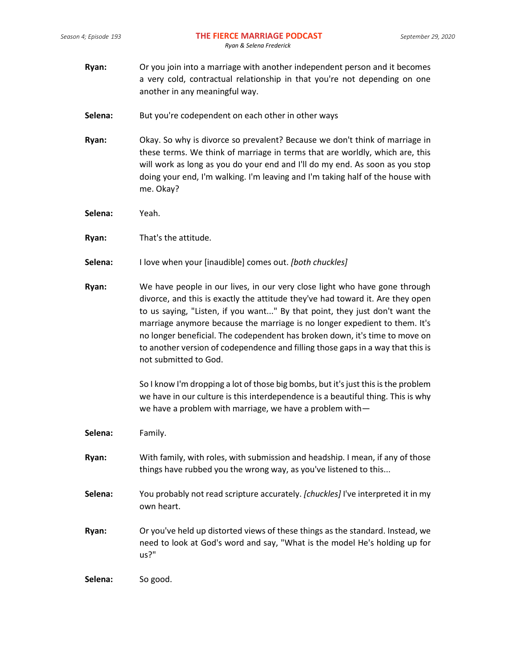- **Ryan:** Or you join into a marriage with another independent person and it becomes a very cold, contractual relationship in that you're not depending on one another in any meaningful way.
- **Selena:** But you're codependent on each other in other ways
- **Ryan:** Okay. So why is divorce so prevalent? Because we don't think of marriage in these terms. We think of marriage in terms that are worldly, which are, this will work as long as you do your end and I'll do my end. As soon as you stop doing your end, I'm walking. I'm leaving and I'm taking half of the house with me. Okay?
- **Selena:** Yeah.
- **Ryan:** That's the attitude.
- **Selena:** I love when your [inaudible] comes out. *[both chuckles]*
- **Ryan:** We have people in our lives, in our very close light who have gone through divorce, and this is exactly the attitude they've had toward it. Are they open to us saying, "Listen, if you want..." By that point, they just don't want the marriage anymore because the marriage is no longer expedient to them. It's no longer beneficial. The codependent has broken down, it's time to move on to another version of codependence and filling those gaps in a way that this is not submitted to God.

So I know I'm dropping a lot of those big bombs, but it's just this is the problem we have in our culture is this interdependence is a beautiful thing. This is why we have a problem with marriage, we have a problem with—

- **Selena:** Family.
- **Ryan:** With family, with roles, with submission and headship. I mean, if any of those things have rubbed you the wrong way, as you've listened to this...
- **Selena:** You probably not read scripture accurately. *[chuckles]* I've interpreted it in my own heart.
- **Ryan:** Or you've held up distorted views of these things as the standard. Instead, we need to look at God's word and say, "What is the model He's holding up for us?"

**Selena:** So good.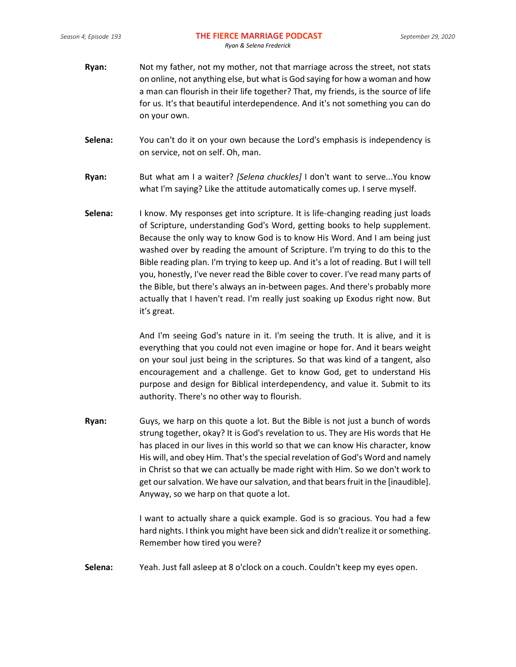- **Ryan:** Not my father, not my mother, not that marriage across the street, not stats on online, not anything else, but what is God saying for how a woman and how a man can flourish in their life together? That, my friends, is the source of life for us. It's that beautiful interdependence. And it's not something you can do on your own.
- **Selena:** You can't do it on your own because the Lord's emphasis is independency is on service, not on self. Oh, man.
- **Ryan:** But what am I a waiter? *[Selena chuckles]* I don't want to serve...You know what I'm saying? Like the attitude automatically comes up. I serve myself.
- **Selena:** I know. My responses get into scripture. It is life-changing reading just loads of Scripture, understanding God's Word, getting books to help supplement. Because the only way to know God is to know His Word. And I am being just washed over by reading the amount of Scripture. I'm trying to do this to the Bible reading plan. I'm trying to keep up. And it's a lot of reading. But I will tell you, honestly, I've never read the Bible cover to cover. I've read many parts of the Bible, but there's always an in-between pages. And there's probably more actually that I haven't read. I'm really just soaking up Exodus right now. But it's great.

And I'm seeing God's nature in it. I'm seeing the truth. It is alive, and it is everything that you could not even imagine or hope for. And it bears weight on your soul just being in the scriptures. So that was kind of a tangent, also encouragement and a challenge. Get to know God, get to understand His purpose and design for Biblical interdependency, and value it. Submit to its authority. There's no other way to flourish.

**Ryan:** Guys, we harp on this quote a lot. But the Bible is not just a bunch of words strung together, okay? It is God's revelation to us. They are His words that He has placed in our lives in this world so that we can know His character, know His will, and obey Him. That's the special revelation of God's Word and namely in Christ so that we can actually be made right with Him. So we don't work to get our salvation. We have our salvation, and that bears fruit in the [inaudible]. Anyway, so we harp on that quote a lot.

> I want to actually share a quick example. God is so gracious. You had a few hard nights. I think you might have been sick and didn't realize it or something. Remember how tired you were?

**Selena:** Yeah. Just fall asleep at 8 o'clock on a couch. Couldn't keep my eyes open.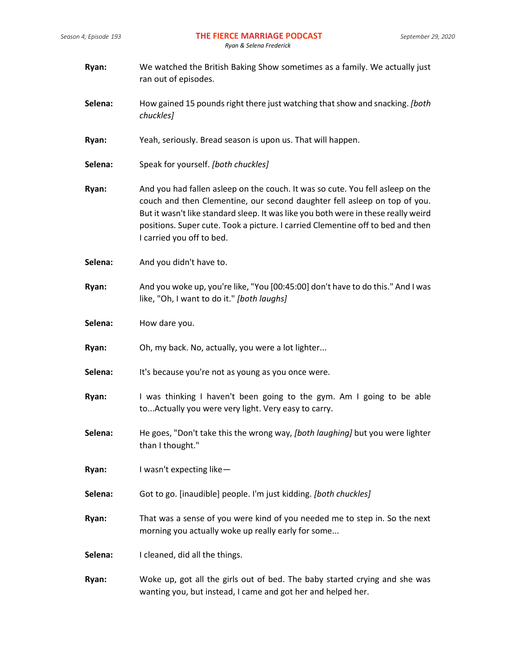| Ryan:   | We watched the British Baking Show sometimes as a family. We actually just<br>ran out of episodes.                                                                                                                                                                                                                                                                |  |
|---------|-------------------------------------------------------------------------------------------------------------------------------------------------------------------------------------------------------------------------------------------------------------------------------------------------------------------------------------------------------------------|--|
| Selena: | How gained 15 pounds right there just watching that show and snacking. [both<br>chuckles]                                                                                                                                                                                                                                                                         |  |
| Ryan:   | Yeah, seriously. Bread season is upon us. That will happen.                                                                                                                                                                                                                                                                                                       |  |
| Selena: | Speak for yourself. [both chuckles]                                                                                                                                                                                                                                                                                                                               |  |
| Ryan:   | And you had fallen asleep on the couch. It was so cute. You fell asleep on the<br>couch and then Clementine, our second daughter fell asleep on top of you.<br>But it wasn't like standard sleep. It was like you both were in these really weird<br>positions. Super cute. Took a picture. I carried Clementine off to bed and then<br>I carried you off to bed. |  |
| Selena: | And you didn't have to.                                                                                                                                                                                                                                                                                                                                           |  |
| Ryan:   | And you woke up, you're like, "You [00:45:00] don't have to do this." And I was<br>like, "Oh, I want to do it." [both laughs]                                                                                                                                                                                                                                     |  |
| Selena: | How dare you.                                                                                                                                                                                                                                                                                                                                                     |  |
| Ryan:   | Oh, my back. No, actually, you were a lot lighter                                                                                                                                                                                                                                                                                                                 |  |
| Selena: | It's because you're not as young as you once were.                                                                                                                                                                                                                                                                                                                |  |
| Ryan:   | I was thinking I haven't been going to the gym. Am I going to be able<br>to Actually you were very light. Very easy to carry.                                                                                                                                                                                                                                     |  |
| Selena: | He goes, "Don't take this the wrong way, [both laughing] but you were lighter<br>than I thought."                                                                                                                                                                                                                                                                 |  |
| Ryan:   | I wasn't expecting like-                                                                                                                                                                                                                                                                                                                                          |  |
| Selena: | Got to go. [inaudible] people. I'm just kidding. [both chuckles]                                                                                                                                                                                                                                                                                                  |  |
| Ryan:   | That was a sense of you were kind of you needed me to step in. So the next<br>morning you actually woke up really early for some                                                                                                                                                                                                                                  |  |
| Selena: | I cleaned, did all the things.                                                                                                                                                                                                                                                                                                                                    |  |
| Ryan:   | Woke up, got all the girls out of bed. The baby started crying and she was<br>wanting you, but instead, I came and got her and helped her.                                                                                                                                                                                                                        |  |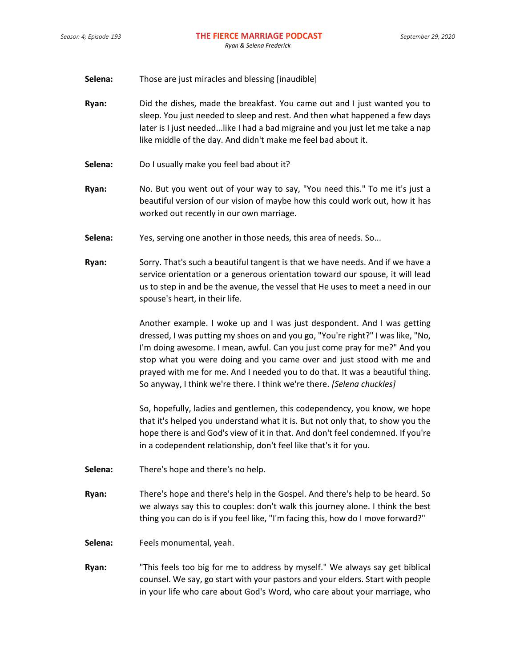- **Selena:** Those are just miracles and blessing [inaudible]
- **Ryan:** Did the dishes, made the breakfast. You came out and I just wanted you to sleep. You just needed to sleep and rest. And then what happened a few days later is I just needed...like I had a bad migraine and you just let me take a nap like middle of the day. And didn't make me feel bad about it.
- **Selena:** Do I usually make you feel bad about it?
- **Ryan:** No. But you went out of your way to say, "You need this." To me it's just a beautiful version of our vision of maybe how this could work out, how it has worked out recently in our own marriage.
- **Selena:** Yes, serving one another in those needs, this area of needs. So...
- **Ryan:** Sorry. That's such a beautiful tangent is that we have needs. And if we have a service orientation or a generous orientation toward our spouse, it will lead us to step in and be the avenue, the vessel that He uses to meet a need in our spouse's heart, in their life.

Another example. I woke up and I was just despondent. And I was getting dressed, I was putting my shoes on and you go, "You're right?" I was like, "No, I'm doing awesome. I mean, awful. Can you just come pray for me?" And you stop what you were doing and you came over and just stood with me and prayed with me for me. And I needed you to do that. It was a beautiful thing. So anyway, I think we're there. I think we're there. *[Selena chuckles]*

So, hopefully, ladies and gentlemen, this codependency, you know, we hope that it's helped you understand what it is. But not only that, to show you the hope there is and God's view of it in that. And don't feel condemned. If you're in a codependent relationship, don't feel like that's it for you.

- **Selena:** There's hope and there's no help.
- **Ryan:** There's hope and there's help in the Gospel. And there's help to be heard. So we always say this to couples: don't walk this journey alone. I think the best thing you can do is if you feel like, "I'm facing this, how do I move forward?"
- **Selena:** Feels monumental, yeah.
- **Ryan:** "This feels too big for me to address by myself." We always say get biblical counsel. We say, go start with your pastors and your elders. Start with people in your life who care about God's Word, who care about your marriage, who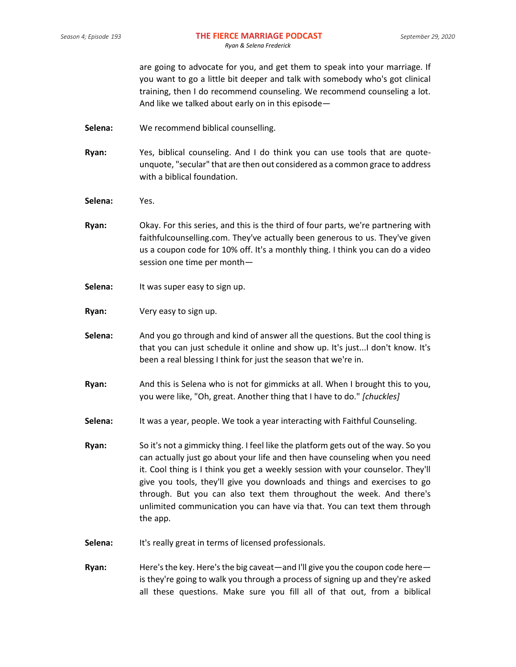are going to advocate for you, and get them to speak into your marriage. If you want to go a little bit deeper and talk with somebody who's got clinical training, then I do recommend counseling. We recommend counseling a lot. And like we talked about early on in this episode—

- **Selena:** We recommend biblical counselling.
- **Ryan:** Yes, biblical counseling. And I do think you can use tools that are quoteunquote, "secular" that are then out considered as a common grace to address with a biblical foundation.
- **Selena:** Yes.
- **Ryan:** Okay. For this series, and this is the third of four parts, we're partnering with faithfulcounselling.com. They've actually been generous to us. They've given us a coupon code for 10% off. It's a monthly thing. I think you can do a video session one time per month—
- Selena: It was super easy to sign up.
- **Ryan:** Very easy to sign up.
- **Selena:** And you go through and kind of answer all the questions. But the cool thing is that you can just schedule it online and show up. It's just...I don't know. It's been a real blessing I think for just the season that we're in.
- **Ryan:** And this is Selena who is not for gimmicks at all. When I brought this to you, you were like, "Oh, great. Another thing that I have to do." *[chuckles]*
- **Selena:** It was a year, people. We took a year interacting with Faithful Counseling.
- **Ryan:** So it's not a gimmicky thing. I feel like the platform gets out of the way. So you can actually just go about your life and then have counseling when you need it. Cool thing is I think you get a weekly session with your counselor. They'll give you tools, they'll give you downloads and things and exercises to go through. But you can also text them throughout the week. And there's unlimited communication you can have via that. You can text them through the app.
- **Selena:** It's really great in terms of licensed professionals.
- **Ryan:** Here's the key. Here's the big caveat—and I'll give you the coupon code here is they're going to walk you through a process of signing up and they're asked all these questions. Make sure you fill all of that out, from a biblical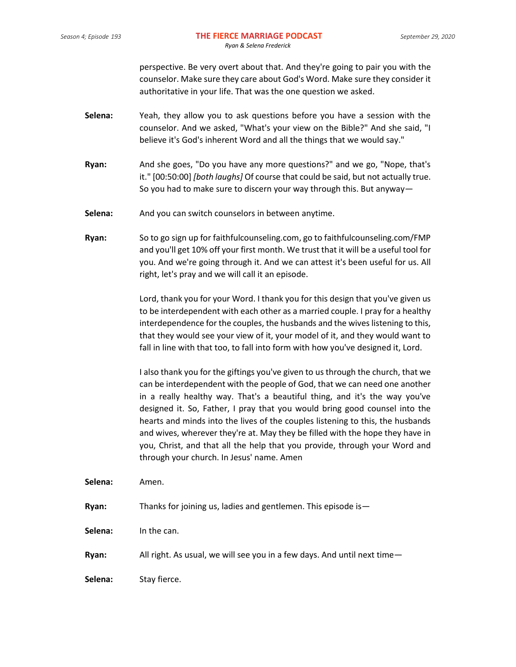perspective. Be very overt about that. And they're going to pair you with the counselor. Make sure they care about God's Word. Make sure they consider it authoritative in your life. That was the one question we asked.

- **Selena:** Yeah, they allow you to ask questions before you have a session with the counselor. And we asked, "What's your view on the Bible?" And she said, "I believe it's God's inherent Word and all the things that we would say."
- **Ryan:** And she goes, "Do you have any more questions?" and we go, "Nope, that's it." [00:50:00] *[both laughs]* Of course that could be said, but not actually true. So you had to make sure to discern your way through this. But anyway—
- **Selena:** And you can switch counselors in between anytime.
- **Ryan:** So to go sign up for faithfulcounseling.com, go to faithfulcounseling.com/FMP and you'll get 10% off your first month. We trust that it will be a useful tool for you. And we're going through it. And we can attest it's been useful for us. All right, let's pray and we will call it an episode.

Lord, thank you for your Word. I thank you for this design that you've given us to be interdependent with each other as a married couple. I pray for a healthy interdependence for the couples, the husbands and the wives listening to this, that they would see your view of it, your model of it, and they would want to fall in line with that too, to fall into form with how you've designed it, Lord.

I also thank you for the giftings you've given to us through the church, that we can be interdependent with the people of God, that we can need one another in a really healthy way. That's a beautiful thing, and it's the way you've designed it. So, Father, I pray that you would bring good counsel into the hearts and minds into the lives of the couples listening to this, the husbands and wives, wherever they're at. May they be filled with the hope they have in you, Christ, and that all the help that you provide, through your Word and through your church. In Jesus' name. Amen

- **Selena:** Amen. **Ryan:** Thanks for joining us, ladies and gentlemen. This episode is— **Selena:** In the can. **Ryan:** All right. As usual, we will see you in a few days. And until next time—
- **Selena:** Stay fierce.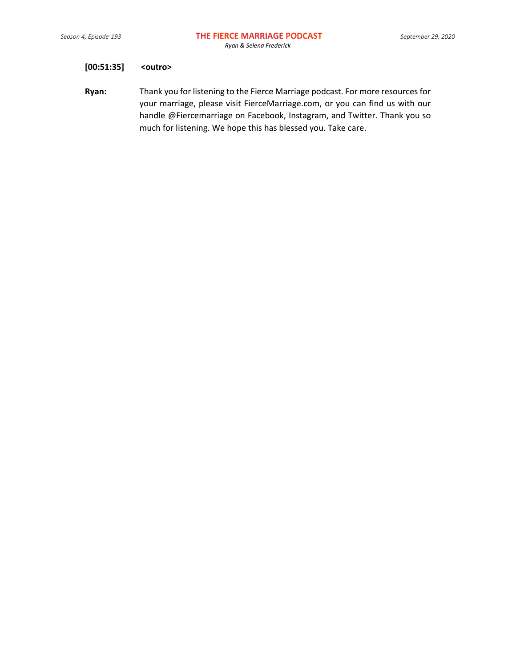# **[00:51:35] <outro>**

**Ryan:** Thank you for listening to the Fierce Marriage podcast. For more resources for your marriage, please visit FierceMarriage.com, or you can find us with our handle @Fiercemarriage on Facebook, Instagram, and Twitter. Thank you so much for listening. We hope this has blessed you. Take care.